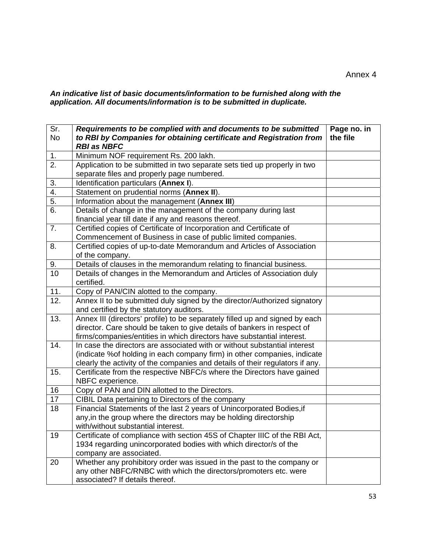### *An indicative list of basic documents/information to be furnished along with the application. All documents/information is to be submitted in duplicate.*

| Sr.<br><b>No</b>  | Requirements to be complied with and documents to be submitted<br>to RBI by Companies for obtaining certificate and Registration from      | Page no. in<br>the file |
|-------------------|--------------------------------------------------------------------------------------------------------------------------------------------|-------------------------|
|                   | <b>RBI as NBFC</b>                                                                                                                         |                         |
| 1.                | Minimum NOF requirement Rs. 200 lakh.                                                                                                      |                         |
| $\overline{2}$ .  | Application to be submitted in two separate sets tied up properly in two                                                                   |                         |
|                   | separate files and properly page numbered.                                                                                                 |                         |
| 3.                | Identification particulars (Annex I).                                                                                                      |                         |
| 4.                | Statement on prudential norms (Annex II).                                                                                                  |                         |
| $\overline{5}$ .  | Information about the management (Annex III)                                                                                               |                         |
| $\overline{6}$ .  | Details of change in the management of the company during last                                                                             |                         |
|                   | financial year till date if any and reasons thereof.                                                                                       |                         |
| 7.                | Certified copies of Certificate of Incorporation and Certificate of                                                                        |                         |
|                   | Commencement of Business in case of public limited companies.                                                                              |                         |
| 8.                | Certified copies of up-to-date Memorandum and Articles of Association                                                                      |                         |
|                   | of the company.                                                                                                                            |                         |
| 9.                | Details of clauses in the memorandum relating to financial business.                                                                       |                         |
| $\overline{10}$   | Details of changes in the Memorandum and Articles of Association duly                                                                      |                         |
|                   | certified.                                                                                                                                 |                         |
| 11.               | Copy of PAN/CIN alotted to the company.                                                                                                    |                         |
| $\overline{12}$ . | Annex II to be submitted duly signed by the director/Authorized signatory                                                                  |                         |
|                   | and certified by the statutory auditors.                                                                                                   |                         |
| 13.               | Annex III (directors' profile) to be separately filled up and signed by each                                                               |                         |
|                   | director. Care should be taken to give details of bankers in respect of                                                                    |                         |
|                   | firms/companies/entities in which directors have substantial interest.                                                                     |                         |
| 14.               | In case the directors are associated with or without substantial interest                                                                  |                         |
|                   | (indicate % of holding in each company firm) in other companies, indicate                                                                  |                         |
|                   | clearly the activity of the companies and details of their regulators if any.                                                              |                         |
| 15.               | Certificate from the respective NBFC/s where the Directors have gained                                                                     |                         |
|                   | NBFC experience.                                                                                                                           |                         |
| 16                | Copy of PAN and DIN allotted to the Directors.                                                                                             |                         |
| 17                | CIBIL Data pertaining to Directors of the company                                                                                          |                         |
| 18                | Financial Statements of the last 2 years of Unincorporated Bodies, if                                                                      |                         |
|                   | any, in the group where the directors may be holding directorship                                                                          |                         |
| 19                | with/without substantial interest.<br>Certificate of compliance with section 45S of Chapter IIIC of the RBI Act,                           |                         |
|                   | 1934 regarding unincorporated bodies with which director/s of the                                                                          |                         |
|                   |                                                                                                                                            |                         |
|                   |                                                                                                                                            |                         |
|                   | company are associated.                                                                                                                    |                         |
| 20                | Whether any prohibitory order was issued in the past to the company or<br>any other NBFC/RNBC with which the directors/promoters etc. were |                         |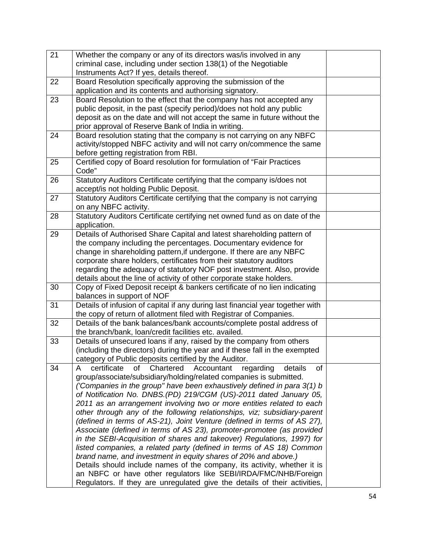| 21 | Whether the company or any of its directors was/is involved in any                                                                   |  |
|----|--------------------------------------------------------------------------------------------------------------------------------------|--|
|    | criminal case, including under section 138(1) of the Negotiable                                                                      |  |
|    | Instruments Act? If yes, details thereof.                                                                                            |  |
| 22 | Board Resolution specifically approving the submission of the                                                                        |  |
|    | application and its contents and authorising signatory.                                                                              |  |
| 23 | Board Resolution to the effect that the company has not accepted any                                                                 |  |
|    | public deposit, in the past (specify period)/does not hold any public                                                                |  |
|    | deposit as on the date and will not accept the same in future without the                                                            |  |
|    | prior approval of Reserve Bank of India in writing.                                                                                  |  |
| 24 | Board resolution stating that the company is not carrying on any NBFC                                                                |  |
|    | activity/stopped NBFC activity and will not carry on/commence the same                                                               |  |
|    | before getting registration from RBI.                                                                                                |  |
| 25 | Certified copy of Board resolution for formulation of "Fair Practices                                                                |  |
|    | Code"                                                                                                                                |  |
| 26 | Statutory Auditors Certificate certifying that the company is/does not                                                               |  |
|    | accept/is not holding Public Deposit.                                                                                                |  |
| 27 | Statutory Auditors Certificate certifying that the company is not carrying                                                           |  |
|    | on any NBFC activity.                                                                                                                |  |
| 28 | Statutory Auditors Certificate certifying net owned fund as on date of the                                                           |  |
|    | application.                                                                                                                         |  |
| 29 | Details of Authorised Share Capital and latest shareholding pattern of                                                               |  |
|    | the company including the percentages. Documentary evidence for                                                                      |  |
|    | change in shareholding pattern, if undergone. If there are any NBFC                                                                  |  |
|    | corporate share holders, certificates from their statutory auditors                                                                  |  |
|    | regarding the adequacy of statutory NOF post investment. Also, provide                                                               |  |
|    | details about the line of activity of other corporate stake holders.                                                                 |  |
| 30 | Copy of Fixed Deposit receipt & bankers certificate of no lien indicating                                                            |  |
|    | balances in support of NOF                                                                                                           |  |
| 31 | Details of infusion of capital if any during last financial year together with                                                       |  |
|    | the copy of return of allotment filed with Registrar of Companies.                                                                   |  |
| 32 | Details of the bank balances/bank accounts/complete postal address of                                                                |  |
|    | the branch/bank, loan/credit facilities etc. availed.                                                                                |  |
| 33 | Details of unsecured loans if any, raised by the company from others                                                                 |  |
|    | (including the directors) during the year and if these fall in the exempted<br>category of Public deposits certified by the Auditor. |  |
| 34 | certificate<br>Chartered<br>Accountant<br>regarding<br>details<br>of<br>A<br>of                                                      |  |
|    | group/associate/subsidiary/holding/related companies is submitted.                                                                   |  |
|    | ('Companies in the group" have been exhaustively defined in para 3(1) b                                                              |  |
|    | of Notification No. DNBS.(PD) 219/CGM (US)-2011 dated January 05,                                                                    |  |
|    | 2011 as an arrangement involving two or more entities related to each                                                                |  |
|    | other through any of the following relationships, viz; subsidiary-parent                                                             |  |
|    | (defined in terms of AS-21), Joint Venture (defined in terms of AS 27),                                                              |  |
|    | Associate (defined in terms of AS 23), promoter-promotee (as provided                                                                |  |
|    | in the SEBI-Acquisition of shares and takeover) Regulations, 1997) for                                                               |  |
|    | listed companies, a related party (defined in terms of AS 18) Common                                                                 |  |
|    | brand name, and investment in equity shares of 20% and above.)                                                                       |  |
|    | Details should include names of the company, its activity, whether it is                                                             |  |
|    | an NBFC or have other regulators like SEBI/IRDA/FMC/NHB/Foreign                                                                      |  |
|    | Regulators. If they are unregulated give the details of their activities,                                                            |  |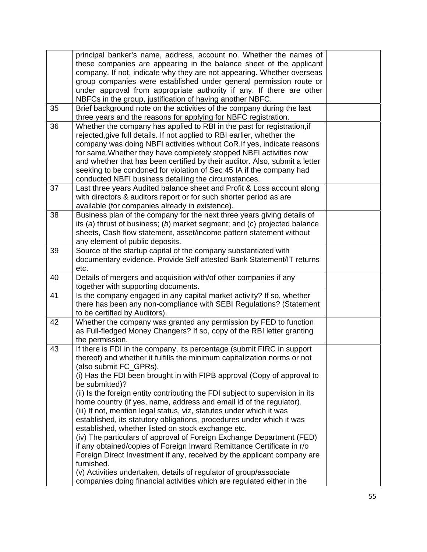|    | principal banker's name, address, account no. Whether the names of            |  |
|----|-------------------------------------------------------------------------------|--|
|    | these companies are appearing in the balance sheet of the applicant           |  |
|    | company. If not, indicate why they are not appearing. Whether overseas        |  |
|    | group companies were established under general permission route or            |  |
|    | under approval from appropriate authority if any. If there are other          |  |
|    | NBFCs in the group, justification of having another NBFC.                     |  |
| 35 | Brief background note on the activities of the company during the last        |  |
|    | three years and the reasons for applying for NBFC registration.               |  |
| 36 | Whether the company has applied to RBI in the past for registration, if       |  |
|    | rejected, give full details. If not applied to RBI earlier, whether the       |  |
|    | company was doing NBFI activities without CoR. If yes, indicate reasons       |  |
|    | for same. Whether they have completely stopped NBFI activities now            |  |
|    | and whether that has been certified by their auditor. Also, submit a letter   |  |
|    | seeking to be condoned for violation of Sec 45 IA if the company had          |  |
|    | conducted NBFI business detailing the circumstances.                          |  |
| 37 | Last three years Audited balance sheet and Profit & Loss account along        |  |
|    | with directors & auditors report or for such shorter period as are            |  |
|    | available (for companies already in existence).                               |  |
| 38 | Business plan of the company for the next three years giving details of       |  |
|    | its (a) thrust of business; (b) market segment; and (c) projected balance     |  |
|    | sheets, Cash flow statement, asset/income pattern statement without           |  |
|    | any element of public deposits.                                               |  |
| 39 | Source of the startup capital of the company substantiated with               |  |
|    | documentary evidence. Provide Self attested Bank Statement/IT returns         |  |
|    | etc.                                                                          |  |
| 40 | Details of mergers and acquisition with/of other companies if any             |  |
|    | together with supporting documents.                                           |  |
| 41 | Is the company engaged in any capital market activity? If so, whether         |  |
|    | there has been any non-compliance with SEBI Regulations? (Statement           |  |
|    | to be certified by Auditors).                                                 |  |
| 42 | Whether the company was granted any permission by FED to function             |  |
|    | as Full-fledged Money Changers? If so, copy of the RBI letter granting        |  |
|    | the permission.                                                               |  |
| 43 | If there is FDI in the company, its percentage (submit FIRC in support        |  |
|    | thereof) and whether it fulfills the minimum capitalization norms or not      |  |
|    | (also submit FC_GPRs).                                                        |  |
|    | (i) Has the FDI been brought in with FIPB approval (Copy of approval to       |  |
|    | be submitted)?                                                                |  |
|    | (ii) Is the foreign entity contributing the FDI subject to supervision in its |  |
|    | home country (if yes, name, address and email id of the regulator).           |  |
|    | (iii) If not, mention legal status, viz, statutes under which it was          |  |
|    | established, its statutory obligations, procedures under which it was         |  |
|    | established, whether listed on stock exchange etc.                            |  |
|    | (iv) The particulars of approval of Foreign Exchange Department (FED)         |  |
|    | if any obtained/copies of Foreign Inward Remittance Certificate in r/o        |  |
|    | Foreign Direct Investment if any, received by the applicant company are       |  |
|    | furnished.                                                                    |  |
|    | (v) Activities undertaken, details of regulator of group/associate            |  |
|    | companies doing financial activities which are regulated either in the        |  |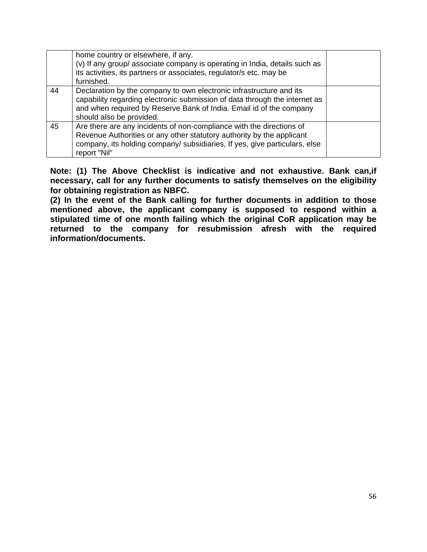|    | home country or elsewhere, if any.<br>(v) If any group/ associate company is operating in India, details such as<br>its activities, its partners or associates, regulator/s etc. may be<br>furnished.                                                |  |
|----|------------------------------------------------------------------------------------------------------------------------------------------------------------------------------------------------------------------------------------------------------|--|
| 44 | Declaration by the company to own electronic infrastructure and its<br>capability regarding electronic submission of data through the internet as<br>and when required by Reserve Bank of India. Email id of the company<br>should also be provided. |  |
| 45 | Are there are any incidents of non-compliance with the directions of<br>Revenue Authorities or any other statutory authority by the applicant<br>company, its holding company/ subsidiaries, If yes, give particulars, else<br>report "Nil"          |  |

**Note: (1) The Above Checklist is indicative and not exhaustive. Bank can,if necessary, call for any further documents to satisfy themselves on the eligibility for obtaining registration as NBFC.** 

**(2) In the event of the Bank calling for further documents in addition to those mentioned above, the applicant company is supposed to respond within a stipulated time of one month failing which the original CoR application may be returned to the company for resubmission afresh with the required information/documents.**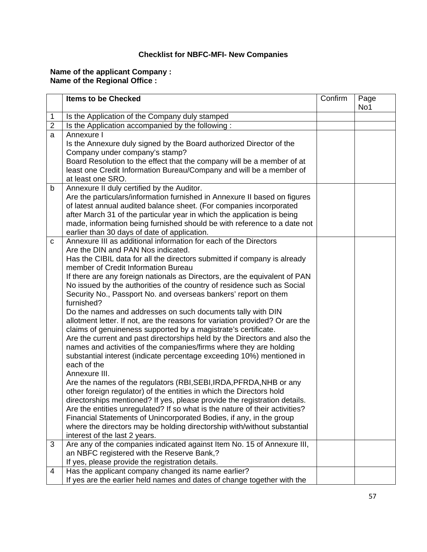## **Checklist for NBFC-MFI- New Companies**

#### **Name of the applicant Company : Name of the Regional Office :**

|                | <b>Items to be Checked</b>                                                                                                                        | Confirm | Page<br>No1 |
|----------------|---------------------------------------------------------------------------------------------------------------------------------------------------|---------|-------------|
| 1              | Is the Application of the Company duly stamped                                                                                                    |         |             |
| $\overline{2}$ | Is the Application accompanied by the following :                                                                                                 |         |             |
| a              | Annexure I                                                                                                                                        |         |             |
|                | Is the Annexure duly signed by the Board authorized Director of the                                                                               |         |             |
|                | Company under company's stamp?                                                                                                                    |         |             |
|                | Board Resolution to the effect that the company will be a member of at                                                                            |         |             |
|                | least one Credit Information Bureau/Company and will be a member of                                                                               |         |             |
|                | at least one SRO.                                                                                                                                 |         |             |
| b              | Annexure II duly certified by the Auditor.                                                                                                        |         |             |
|                | Are the particulars/information furnished in Annexure II based on figures                                                                         |         |             |
|                | of latest annual audited balance sheet. (For companies incorporated                                                                               |         |             |
|                | after March 31 of the particular year in which the application is being                                                                           |         |             |
|                | made, information being furnished should be with reference to a date not<br>earlier than 30 days of date of application.                          |         |             |
| C              | Annexure III as additional information for each of the Directors                                                                                  |         |             |
|                | Are the DIN and PAN Nos indicated.                                                                                                                |         |             |
|                | Has the CIBIL data for all the directors submitted if company is already                                                                          |         |             |
|                | member of Credit Information Bureau                                                                                                               |         |             |
|                | If there are any foreign nationals as Directors, are the equivalent of PAN                                                                        |         |             |
|                | No issued by the authorities of the country of residence such as Social                                                                           |         |             |
|                | Security No., Passport No. and overseas bankers' report on them                                                                                   |         |             |
|                | furnished?                                                                                                                                        |         |             |
|                | Do the names and addresses on such documents tally with DIN                                                                                       |         |             |
|                | allotment letter. If not, are the reasons for variation provided? Or are the                                                                      |         |             |
|                | claims of genuineness supported by a magistrate's certificate.                                                                                    |         |             |
|                | Are the current and past directorships held by the Directors and also the                                                                         |         |             |
|                | names and activities of the companies/firms where they are holding                                                                                |         |             |
|                | substantial interest (indicate percentage exceeding 10%) mentioned in                                                                             |         |             |
|                | each of the                                                                                                                                       |         |             |
|                | Annexure III.                                                                                                                                     |         |             |
|                | Are the names of the regulators (RBI, SEBI, IRDA, PFRDA, NHB or any                                                                               |         |             |
|                | other foreign regulator) of the entities in which the Directors hold<br>directorships mentioned? If yes, please provide the registration details. |         |             |
|                | Are the entities unregulated? If so what is the nature of their activities?                                                                       |         |             |
|                | Financial Statements of Unincorporated Bodies, if any, in the group                                                                               |         |             |
|                | where the directors may be holding directorship with/without substantial                                                                          |         |             |
|                | interest of the last 2 years.                                                                                                                     |         |             |
| 3              | Are any of the companies indicated against Item No. 15 of Annexure III,                                                                           |         |             |
|                | an NBFC registered with the Reserve Bank,?                                                                                                        |         |             |
|                | If yes, please provide the registration details.                                                                                                  |         |             |
| 4              | Has the applicant company changed its name earlier?                                                                                               |         |             |
|                | If yes are the earlier held names and dates of change together with the                                                                           |         |             |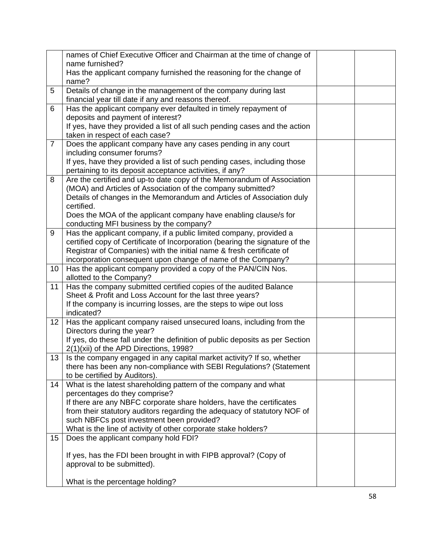|                 | names of Chief Executive Officer and Chairman at the time of change of                                                                             |  |
|-----------------|----------------------------------------------------------------------------------------------------------------------------------------------------|--|
|                 | name furnished?<br>Has the applicant company furnished the reasoning for the change of                                                             |  |
|                 | name?                                                                                                                                              |  |
| 5               | Details of change in the management of the company during last<br>financial year till date if any and reasons thereof.                             |  |
| 6               | Has the applicant company ever defaulted in timely repayment of                                                                                    |  |
|                 | deposits and payment of interest?                                                                                                                  |  |
|                 | If yes, have they provided a list of all such pending cases and the action<br>taken in respect of each case?                                       |  |
| $\overline{7}$  | Does the applicant company have any cases pending in any court                                                                                     |  |
|                 | including consumer forums?                                                                                                                         |  |
|                 | If yes, have they provided a list of such pending cases, including those<br>pertaining to its deposit acceptance activities, if any?               |  |
| 8               | Are the certified and up-to date copy of the Memorandum of Association                                                                             |  |
|                 | (MOA) and Articles of Association of the company submitted?                                                                                        |  |
|                 | Details of changes in the Memorandum and Articles of Association duly                                                                              |  |
|                 | certified.                                                                                                                                         |  |
|                 | Does the MOA of the applicant company have enabling clause/s for                                                                                   |  |
|                 | conducting MFI business by the company?                                                                                                            |  |
| 9               | Has the applicant company, if a public limited company, provided a<br>certified copy of Certificate of Incorporation (bearing the signature of the |  |
|                 | Registrar of Companies) with the initial name & fresh certificate of                                                                               |  |
|                 | incorporation consequent upon change of name of the Company?                                                                                       |  |
| 10              | Has the applicant company provided a copy of the PAN/CIN Nos.                                                                                      |  |
|                 | allotted to the Company?                                                                                                                           |  |
| 11              | Has the company submitted certified copies of the audited Balance                                                                                  |  |
|                 | Sheet & Profit and Loss Account for the last three years?                                                                                          |  |
|                 | If the company is incurring losses, are the steps to wipe out loss                                                                                 |  |
|                 | indicated?                                                                                                                                         |  |
| 12              | Has the applicant company raised unsecured loans, including from the<br>Directors during the year?                                                 |  |
|                 | If yes, do these fall under the definition of public deposits as per Section                                                                       |  |
|                 | 2(1)(xii) of the APD Directions, 1998?                                                                                                             |  |
| 13 <sup>1</sup> | Is the company engaged in any capital market activity? If so, whether                                                                              |  |
|                 | there has been any non-compliance with SEBI Regulations? (Statement                                                                                |  |
|                 | to be certified by Auditors).                                                                                                                      |  |
| 14              | What is the latest shareholding pattern of the company and what                                                                                    |  |
|                 | percentages do they comprise?                                                                                                                      |  |
|                 | If there are any NBFC corporate share holders, have the certificates<br>from their statutory auditors regarding the adequacy of statutory NOF of   |  |
|                 | such NBFCs post investment been provided?                                                                                                          |  |
|                 | What is the line of activity of other corporate stake holders?                                                                                     |  |
| 15              | Does the applicant company hold FDI?                                                                                                               |  |
|                 |                                                                                                                                                    |  |
|                 | If yes, has the FDI been brought in with FIPB approval? (Copy of                                                                                   |  |
|                 | approval to be submitted).                                                                                                                         |  |
|                 |                                                                                                                                                    |  |
|                 | What is the percentage holding?                                                                                                                    |  |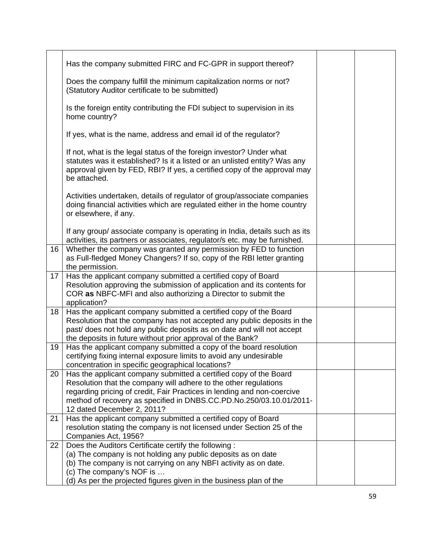|    | Has the company submitted FIRC and FC-GPR in support thereof?                                                                                                                                                                                                                                                         |  |
|----|-----------------------------------------------------------------------------------------------------------------------------------------------------------------------------------------------------------------------------------------------------------------------------------------------------------------------|--|
|    | Does the company fulfill the minimum capitalization norms or not?<br>(Statutory Auditor certificate to be submitted)                                                                                                                                                                                                  |  |
|    | Is the foreign entity contributing the FDI subject to supervision in its<br>home country?                                                                                                                                                                                                                             |  |
|    | If yes, what is the name, address and email id of the regulator?                                                                                                                                                                                                                                                      |  |
|    | If not, what is the legal status of the foreign investor? Under what<br>statutes was it established? Is it a listed or an unlisted entity? Was any<br>approval given by FED, RBI? If yes, a certified copy of the approval may<br>be attached.                                                                        |  |
|    | Activities undertaken, details of regulator of group/associate companies<br>doing financial activities which are regulated either in the home country<br>or elsewhere, if any.                                                                                                                                        |  |
|    | If any group/ associate company is operating in India, details such as its<br>activities, its partners or associates, regulator/s etc. may be furnished.                                                                                                                                                              |  |
| 16 | Whether the company was granted any permission by FED to function<br>as Full-fledged Money Changers? If so, copy of the RBI letter granting<br>the permission.                                                                                                                                                        |  |
| 17 | Has the applicant company submitted a certified copy of Board<br>Resolution approving the submission of application and its contents for<br>COR as NBFC-MFI and also authorizing a Director to submit the<br>application?                                                                                             |  |
| 18 | Has the applicant company submitted a certified copy of the Board<br>Resolution that the company has not accepted any public deposits in the<br>past/ does not hold any public deposits as on date and will not accept<br>the deposits in future without prior approval of the Bank?                                  |  |
| 19 | Has the applicant company submitted a copy of the board resolution<br>certifying fixing internal exposure limits to avoid any undesirable<br>concentration in specific geographical locations?                                                                                                                        |  |
| 20 | Has the applicant company submitted a certified copy of the Board<br>Resolution that the company will adhere to the other regulations<br>regarding pricing of credit, Fair Practices in lending and non-coercive<br>method of recovery as specified in DNBS.CC.PD.No.250/03.10.01/2011-<br>12 dated December 2, 2011? |  |
| 21 | Has the applicant company submitted a certified copy of Board<br>resolution stating the company is not licensed under Section 25 of the<br>Companies Act, 1956?                                                                                                                                                       |  |
| 22 | Does the Auditors Certificate certify the following:<br>(a) The company is not holding any public deposits as on date<br>(b) The company is not carrying on any NBFI activity as on date.<br>(c) The company's NOF is<br>(d) As per the projected figures given in the business plan of the                           |  |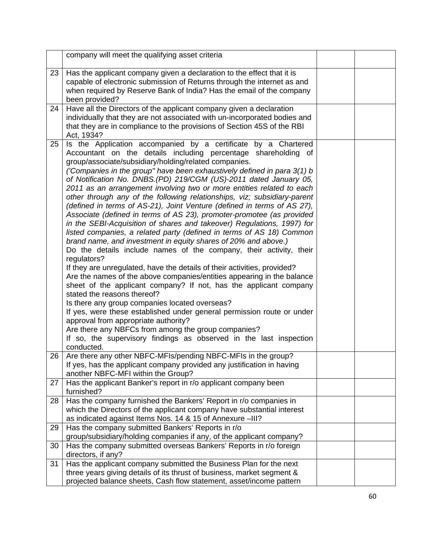|    | company will meet the qualifying asset criteria                                                                                             |  |
|----|---------------------------------------------------------------------------------------------------------------------------------------------|--|
| 23 | Has the applicant company given a declaration to the effect that it is                                                                      |  |
|    | capable of electronic submission of Returns through the internet as and                                                                     |  |
|    | when required by Reserve Bank of India? Has the email of the company                                                                        |  |
|    | been provided?<br>Have all the Directors of the applicant company given a declaration                                                       |  |
| 24 | individually that they are not associated with un-incorporated bodies and                                                                   |  |
|    | that they are in compliance to the provisions of Section 45S of the RBI                                                                     |  |
|    | Act, 1934?                                                                                                                                  |  |
| 25 | Is the Application accompanied by a certificate by a Chartered                                                                              |  |
|    | Accountant on the details including percentage shareholding of                                                                              |  |
|    | group/associate/subsidiary/holding/related companies.                                                                                       |  |
|    | ('Companies in the group" have been exhaustively defined in para 3(1) b                                                                     |  |
|    | of Notification No. DNBS.(PD) 219/CGM (US)-2011 dated January 05,<br>2011 as an arrangement involving two or more entities related to each  |  |
|    | other through any of the following relationships, viz; subsidiary-parent                                                                    |  |
|    | (defined in terms of AS-21), Joint Venture (defined in terms of AS 27),                                                                     |  |
|    | Associate (defined in terms of AS 23), promoter-promotee (as provided                                                                       |  |
|    | in the SEBI-Acquisition of shares and takeover) Regulations, 1997) for                                                                      |  |
|    | listed companies, a related party (defined in terms of AS 18) Common                                                                        |  |
|    | brand name, and investment in equity shares of 20% and above.)                                                                              |  |
|    | Do the details include names of the company, their activity, their                                                                          |  |
|    | regulators?<br>If they are unregulated, have the details of their activities, provided?                                                     |  |
|    | Are the names of the above companies/entities appearing in the balance                                                                      |  |
|    | sheet of the applicant company? If not, has the applicant company                                                                           |  |
|    | stated the reasons thereof?                                                                                                                 |  |
|    | Is there any group companies located overseas?                                                                                              |  |
|    | If yes, were these established under general permission route or under                                                                      |  |
|    | approval from appropriate authority?                                                                                                        |  |
|    | Are there any NBFCs from among the group companies?<br>If so, the supervisory findings as observed in the last inspection                   |  |
|    | conducted.                                                                                                                                  |  |
| 26 | Are there any other NBFC-MFIs/pending NBFC-MFIs in the group?                                                                               |  |
|    | If yes, has the applicant company provided any justification in having                                                                      |  |
|    | another NBFC-MFI within the Group?                                                                                                          |  |
| 27 | Has the applicant Banker's report in r/o applicant company been                                                                             |  |
|    | furnished?                                                                                                                                  |  |
| 28 | Has the company furnished the Bankers' Report in r/o companies in<br>which the Directors of the applicant company have substantial interest |  |
|    | as indicated against Items Nos. 14 & 15 of Annexure -III?                                                                                   |  |
| 29 | Has the company submitted Bankers' Reports in r/o                                                                                           |  |
|    | group/subsidiary/holding companies if any, of the applicant company?                                                                        |  |
| 30 | Has the company submitted overseas Bankers' Reports in r/o foreign                                                                          |  |
|    | directors, if any?                                                                                                                          |  |
| 31 | Has the applicant company submitted the Business Plan for the next                                                                          |  |
|    | three years giving details of its thrust of business, market segment &                                                                      |  |
|    | projected balance sheets, Cash flow statement, asset/income pattern                                                                         |  |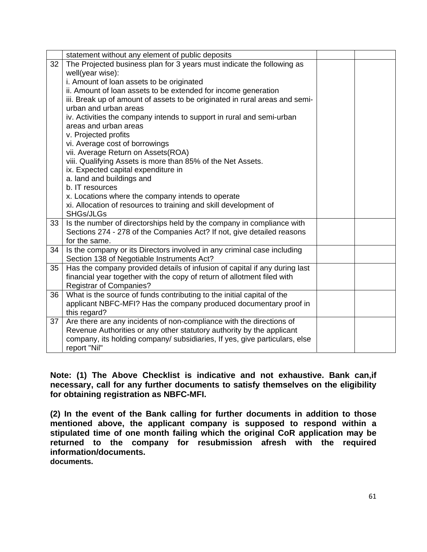|    | statement without any element of public deposits                            |  |
|----|-----------------------------------------------------------------------------|--|
| 32 | The Projected business plan for 3 years must indicate the following as      |  |
|    | well(year wise):                                                            |  |
|    | i. Amount of loan assets to be originated                                   |  |
|    | ii. Amount of loan assets to be extended for income generation              |  |
|    | iii. Break up of amount of assets to be originated in rural areas and semi- |  |
|    | urban and urban areas                                                       |  |
|    | iv. Activities the company intends to support in rural and semi-urban       |  |
|    | areas and urban areas                                                       |  |
|    | v. Projected profits                                                        |  |
|    | vi. Average cost of borrowings                                              |  |
|    | vii. Average Return on Assets(ROA)                                          |  |
|    | viii. Qualifying Assets is more than 85% of the Net Assets.                 |  |
|    | ix. Expected capital expenditure in                                         |  |
|    | a. land and buildings and                                                   |  |
|    | b. IT resources                                                             |  |
|    | x. Locations where the company intends to operate                           |  |
|    | xi. Allocation of resources to training and skill development of            |  |
|    | SHGs/JLGs                                                                   |  |
| 33 | Is the number of directorships held by the company in compliance with       |  |
|    | Sections 274 - 278 of the Companies Act? If not, give detailed reasons      |  |
|    | for the same.                                                               |  |
| 34 | Is the company or its Directors involved in any criminal case including     |  |
|    | Section 138 of Negotiable Instruments Act?                                  |  |
| 35 | Has the company provided details of infusion of capital if any during last  |  |
|    | financial year together with the copy of return of allotment filed with     |  |
|    | <b>Registrar of Companies?</b>                                              |  |
| 36 | What is the source of funds contributing to the initial capital of the      |  |
|    | applicant NBFC-MFI? Has the company produced documentary proof in           |  |
|    | this regard?                                                                |  |
| 37 | Are there are any incidents of non-compliance with the directions of        |  |
|    | Revenue Authorities or any other statutory authority by the applicant       |  |
|    | company, its holding company/ subsidiaries, If yes, give particulars, else  |  |
|    | report "Nil"                                                                |  |

**Note: (1) The Above Checklist is indicative and not exhaustive. Bank can,if necessary, call for any further documents to satisfy themselves on the eligibility for obtaining registration as NBFC-MFI.** 

**(2) In the event of the Bank calling for further documents in addition to those mentioned above, the applicant company is supposed to respond within a stipulated time of one month failing which the original CoR application may be returned to the company for resubmission afresh with the required information/documents.** 

**documents.**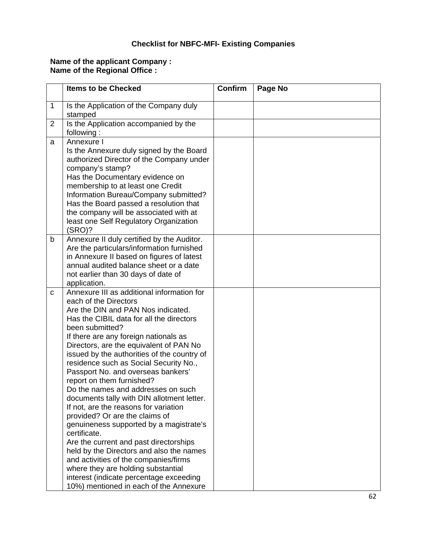# **Checklist for NBFC-MFI- Existing Companies**

#### **Name of the applicant Company : Name of the Regional Office :**

|   | <b>Items to be Checked</b>                                                                                                                                                                                                                                                                                                                                                                                                                                                                                                                                                                                                                                                                                                                                                                                                                                                                                   | <b>Confirm</b> | Page No |
|---|--------------------------------------------------------------------------------------------------------------------------------------------------------------------------------------------------------------------------------------------------------------------------------------------------------------------------------------------------------------------------------------------------------------------------------------------------------------------------------------------------------------------------------------------------------------------------------------------------------------------------------------------------------------------------------------------------------------------------------------------------------------------------------------------------------------------------------------------------------------------------------------------------------------|----------------|---------|
| 1 | Is the Application of the Company duly<br>stamped                                                                                                                                                                                                                                                                                                                                                                                                                                                                                                                                                                                                                                                                                                                                                                                                                                                            |                |         |
| 2 | Is the Application accompanied by the<br>following:                                                                                                                                                                                                                                                                                                                                                                                                                                                                                                                                                                                                                                                                                                                                                                                                                                                          |                |         |
| a | Annexure I<br>Is the Annexure duly signed by the Board<br>authorized Director of the Company under<br>company's stamp?<br>Has the Documentary evidence on<br>membership to at least one Credit<br>Information Bureau/Company submitted?<br>Has the Board passed a resolution that<br>the company will be associated with at<br>least one Self Regulatory Organization<br>(SRO)?                                                                                                                                                                                                                                                                                                                                                                                                                                                                                                                              |                |         |
| b | Annexure II duly certified by the Auditor.<br>Are the particulars/information furnished<br>in Annexure II based on figures of latest<br>annual audited balance sheet or a date<br>not earlier than 30 days of date of<br>application.                                                                                                                                                                                                                                                                                                                                                                                                                                                                                                                                                                                                                                                                        |                |         |
| C | Annexure III as additional information for<br>each of the Directors<br>Are the DIN and PAN Nos indicated.<br>Has the CIBIL data for all the directors<br>been submitted?<br>If there are any foreign nationals as<br>Directors, are the equivalent of PAN No<br>issued by the authorities of the country of<br>residence such as Social Security No.,<br>Passport No. and overseas bankers'<br>report on them furnished?<br>Do the names and addresses on such<br>documents tally with DIN allotment letter.<br>If not, are the reasons for variation<br>provided? Or are the claims of<br>genuineness supported by a magistrate's<br>certificate.<br>Are the current and past directorships<br>held by the Directors and also the names<br>and activities of the companies/firms<br>where they are holding substantial<br>interest (indicate percentage exceeding<br>10%) mentioned in each of the Annexure |                |         |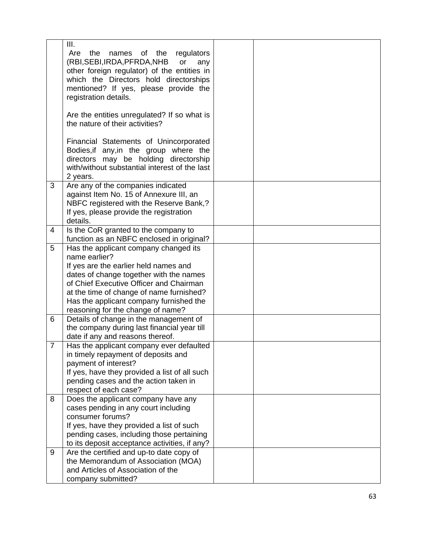|   | III.<br>Are<br>the<br>names of the regulators<br>(RBI, SEBI, IRDA, PFRDA, NHB<br>or<br>any<br>other foreign regulator) of the entities in<br>which the Directors hold directorships<br>mentioned? If yes, please provide the<br>registration details.<br>Are the entities unregulated? If so what is<br>the nature of their activities? |  |
|---|-----------------------------------------------------------------------------------------------------------------------------------------------------------------------------------------------------------------------------------------------------------------------------------------------------------------------------------------|--|
|   | Financial Statements of Unincorporated<br>Bodies, if any, in the group where the<br>directors may be holding directorship<br>with/without substantial interest of the last<br>2 years.                                                                                                                                                  |  |
| 3 | Are any of the companies indicated<br>against Item No. 15 of Annexure III, an<br>NBFC registered with the Reserve Bank,?<br>If yes, please provide the registration<br>details.                                                                                                                                                         |  |
| 4 | Is the CoR granted to the company to<br>function as an NBFC enclosed in original?                                                                                                                                                                                                                                                       |  |
| 5 | Has the applicant company changed its<br>name earlier?<br>If yes are the earlier held names and<br>dates of change together with the names<br>of Chief Executive Officer and Chairman<br>at the time of change of name furnished?<br>Has the applicant company furnished the<br>reasoning for the change of name?                       |  |
| 6 | Details of change in the management of<br>the company during last financial year till<br>date if any and reasons thereof.                                                                                                                                                                                                               |  |
| 7 | Has the applicant company ever defaulted<br>in timely repayment of deposits and<br>payment of interest?<br>If yes, have they provided a list of all such<br>pending cases and the action taken in<br>respect of each case?                                                                                                              |  |
| 8 | Does the applicant company have any<br>cases pending in any court including<br>consumer forums?<br>If yes, have they provided a list of such<br>pending cases, including those pertaining<br>to its deposit acceptance activities, if any?                                                                                              |  |
| 9 | Are the certified and up-to date copy of<br>the Memorandum of Association (MOA)<br>and Articles of Association of the<br>company submitted?                                                                                                                                                                                             |  |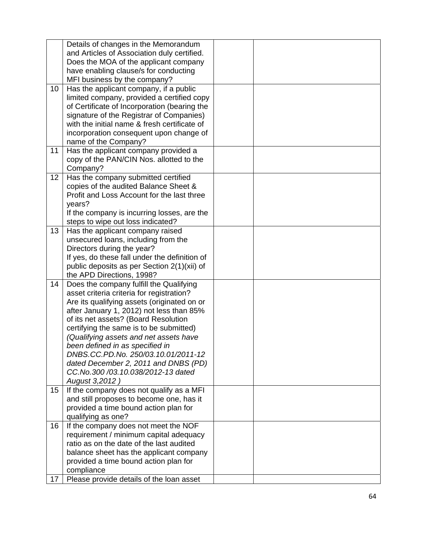|    | Details of changes in the Memorandum          |  |
|----|-----------------------------------------------|--|
|    | and Articles of Association duly certified.   |  |
|    | Does the MOA of the applicant company         |  |
|    | have enabling clause/s for conducting         |  |
|    | MFI business by the company?                  |  |
| 10 | Has the applicant company, if a public        |  |
|    | limited company, provided a certified copy    |  |
|    | of Certificate of Incorporation (bearing the  |  |
|    | signature of the Registrar of Companies)      |  |
|    | with the initial name & fresh certificate of  |  |
|    | incorporation consequent upon change of       |  |
|    | name of the Company?                          |  |
| 11 | Has the applicant company provided a          |  |
|    | copy of the PAN/CIN Nos. allotted to the      |  |
|    | Company?                                      |  |
| 12 | Has the company submitted certified           |  |
|    | copies of the audited Balance Sheet &         |  |
|    | Profit and Loss Account for the last three    |  |
|    | years?                                        |  |
|    | If the company is incurring losses, are the   |  |
|    | steps to wipe out loss indicated?             |  |
| 13 | Has the applicant company raised              |  |
|    | unsecured loans, including from the           |  |
|    | Directors during the year?                    |  |
|    | If yes, do these fall under the definition of |  |
|    | public deposits as per Section 2(1)(xii) of   |  |
|    | the APD Directions, 1998?                     |  |
| 14 | Does the company fulfill the Qualifying       |  |
|    | asset criteria criteria for registration?     |  |
|    | Are its qualifying assets (originated on or   |  |
|    | after January 1, 2012) not less than 85%      |  |
|    | of its net assets? (Board Resolution          |  |
|    | certifying the same is to be submitted)       |  |
|    | (Qualifying assets and net assets have        |  |
|    | been defined in as specified in               |  |
|    | DNBS.CC.PD.No. 250/03.10.01/2011-12           |  |
|    | dated December 2, 2011 and DNBS (PD)          |  |
|    | CC.No.300/03.10.038/2012-13 dated             |  |
|    | August 3,2012)                                |  |
| 15 | If the company does not qualify as a MFI      |  |
|    | and still proposes to become one, has it      |  |
|    | provided a time bound action plan for         |  |
|    | qualifying as one?                            |  |
| 16 | If the company does not meet the NOF          |  |
|    | requirement / minimum capital adequacy        |  |
|    | ratio as on the date of the last audited      |  |
|    | balance sheet has the applicant company       |  |
|    | provided a time bound action plan for         |  |
|    | compliance                                    |  |
| 17 | Please provide details of the loan asset      |  |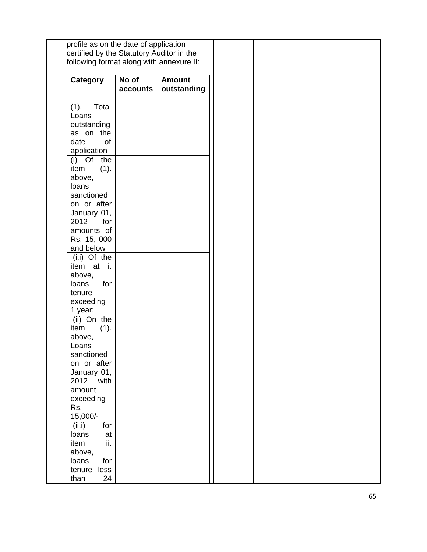| Category                   | $\overline{No}$ of<br>accounts | <b>Amount</b><br>outstanding |
|----------------------------|--------------------------------|------------------------------|
| Total<br>(1).              |                                |                              |
| Loans                      |                                |                              |
| outstanding                |                                |                              |
| as on the                  |                                |                              |
| date<br>of                 |                                |                              |
| application<br>(i) Of the  |                                |                              |
| (1).<br>item               |                                |                              |
| above,                     |                                |                              |
| loans                      |                                |                              |
| sanctioned                 |                                |                              |
| on or after                |                                |                              |
| January 01,<br>2012<br>for |                                |                              |
| amounts of                 |                                |                              |
| Rs. 15, 000                |                                |                              |
| and below                  |                                |                              |
| $(i.i)$ Of the             |                                |                              |
| item at i.                 |                                |                              |
| above,<br>loans<br>for     |                                |                              |
| tenure                     |                                |                              |
| exceeding                  |                                |                              |
| 1 year:                    |                                |                              |
| (ii) On the                |                                |                              |
| (1).<br>item<br>above,     |                                |                              |
| Loans                      |                                |                              |
| sanctioned                 |                                |                              |
| on or after                |                                |                              |
| January 01,                |                                |                              |
| 2012 with<br>amount        |                                |                              |
| exceeding                  |                                |                              |
| Rs.                        |                                |                              |
| 15,000/-                   |                                |                              |
| for<br>(ii.i)              |                                |                              |
| loans<br>at                |                                |                              |
| ii.<br>item<br>above,      |                                |                              |
| loans<br>for               |                                |                              |
| tenure less                |                                |                              |
| 24<br>than                 |                                |                              |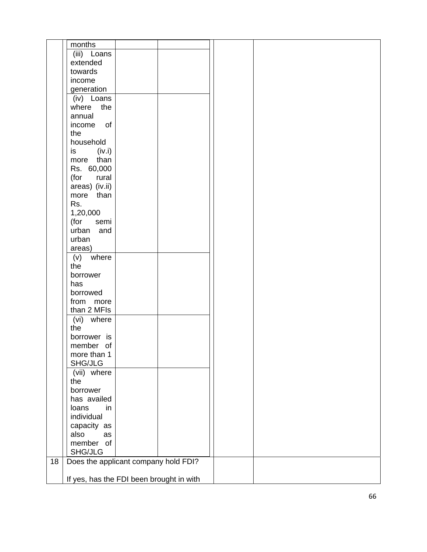|    | months                                   |  |  |
|----|------------------------------------------|--|--|
|    | (iii) Loans                              |  |  |
|    | extended                                 |  |  |
|    | towards                                  |  |  |
|    | income                                   |  |  |
|    | generation                               |  |  |
|    | (iv) Loans                               |  |  |
|    | where<br>the                             |  |  |
|    | annual                                   |  |  |
|    | of<br>income                             |  |  |
|    | the                                      |  |  |
|    | household                                |  |  |
|    | (iv.i)<br>is                             |  |  |
|    | than<br>more                             |  |  |
|    | Rs. 60,000                               |  |  |
|    | (for<br>rural                            |  |  |
|    | areas) (iv.ii)                           |  |  |
|    | more than                                |  |  |
|    | Rs.                                      |  |  |
|    | 1,20,000                                 |  |  |
|    | (for<br>semi                             |  |  |
|    | and<br>urban                             |  |  |
|    | urban                                    |  |  |
|    | areas)                                   |  |  |
|    | where<br>(v)                             |  |  |
|    | the                                      |  |  |
|    | borrower                                 |  |  |
|    | has                                      |  |  |
|    | borrowed                                 |  |  |
|    | from more                                |  |  |
|    | than 2 MFIs                              |  |  |
|    | (vi) where                               |  |  |
|    | the                                      |  |  |
|    | borrower is                              |  |  |
|    | member of                                |  |  |
|    | more than 1                              |  |  |
|    | SHG/JLG                                  |  |  |
|    | (vii) where                              |  |  |
|    | the                                      |  |  |
|    | borrower                                 |  |  |
|    | has availed                              |  |  |
|    | loans<br>in                              |  |  |
|    | individual                               |  |  |
|    | capacity as                              |  |  |
|    | also<br>as                               |  |  |
|    | member of                                |  |  |
|    | SHG/JLG                                  |  |  |
| 18 | Does the applicant company hold FDI?     |  |  |
|    |                                          |  |  |
|    | If yes, has the FDI been brought in with |  |  |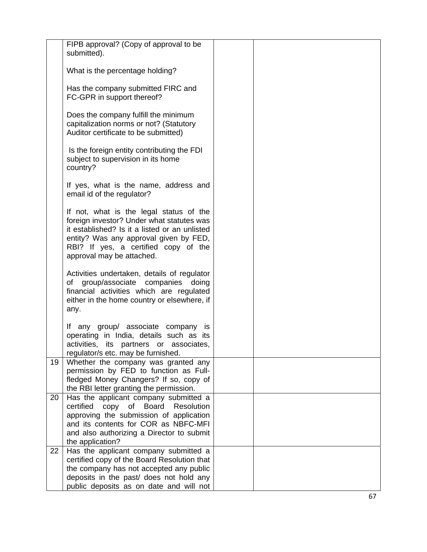|    | FIPB approval? (Copy of approval to be<br>submitted).                                                                                                                                                                                                |  |
|----|------------------------------------------------------------------------------------------------------------------------------------------------------------------------------------------------------------------------------------------------------|--|
|    | What is the percentage holding?                                                                                                                                                                                                                      |  |
|    | Has the company submitted FIRC and<br>FC-GPR in support thereof?                                                                                                                                                                                     |  |
|    | Does the company fulfill the minimum<br>capitalization norms or not? (Statutory<br>Auditor certificate to be submitted)                                                                                                                              |  |
|    | Is the foreign entity contributing the FDI<br>subject to supervision in its home<br>country?                                                                                                                                                         |  |
|    | If yes, what is the name, address and<br>email id of the regulator?                                                                                                                                                                                  |  |
|    | If not, what is the legal status of the<br>foreign investor? Under what statutes was<br>it established? Is it a listed or an unlisted<br>entity? Was any approval given by FED,<br>RBI? If yes, a certified copy of the<br>approval may be attached. |  |
|    | Activities undertaken, details of regulator<br>of group/associate companies doing<br>financial activities which are regulated<br>either in the home country or elsewhere, if<br>any.                                                                 |  |
|    | If any group/ associate company is<br>operating in India, details such as its<br>activities, its partners or associates,<br>regulator/s etc. may be furnished.                                                                                       |  |
| 19 | Whether the company was granted any<br>permission by FED to function as Full-<br>fledged Money Changers? If so, copy of<br>the RBI letter granting the permission.                                                                                   |  |
| 20 | Has the applicant company submitted a<br>copy of Board<br>Resolution<br>certified<br>approving the submission of application<br>and its contents for COR as NBFC-MFI<br>and also authorizing a Director to submit<br>the application?                |  |
| 22 | Has the applicant company submitted a<br>certified copy of the Board Resolution that<br>the company has not accepted any public<br>deposits in the past/ does not hold any<br>public deposits as on date and will not                                |  |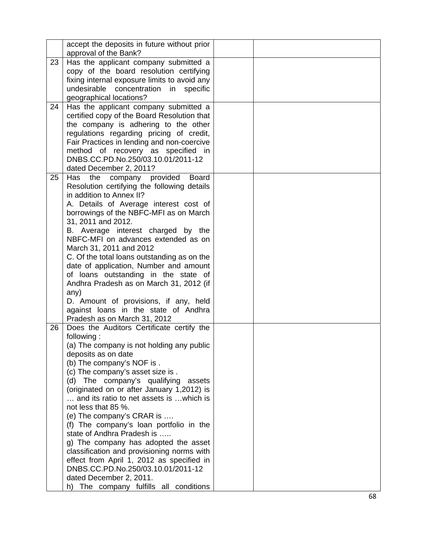|    | accept the deposits in future without prior<br>approval of the Bank? |  |
|----|----------------------------------------------------------------------|--|
| 23 | Has the applicant company submitted a                                |  |
|    | copy of the board resolution certifying                              |  |
|    | fixing internal exposure limits to avoid any                         |  |
|    | undesirable<br>concentration<br>in<br>specific                       |  |
|    | geographical locations?                                              |  |
| 24 | Has the applicant company submitted a                                |  |
|    | certified copy of the Board Resolution that                          |  |
|    | the company is adhering to the other                                 |  |
|    | regulations regarding pricing of credit,                             |  |
|    | Fair Practices in lending and non-coercive                           |  |
|    | method of recovery as specified in                                   |  |
|    | DNBS.CC.PD.No.250/03.10.01/2011-12                                   |  |
|    | dated December 2, 2011?                                              |  |
| 25 | Has<br>the<br>company provided<br><b>Board</b>                       |  |
|    | Resolution certifying the following details                          |  |
|    | in addition to Annex II?                                             |  |
|    | A. Details of Average interest cost of                               |  |
|    | borrowings of the NBFC-MFI as on March                               |  |
|    | 31, 2011 and 2012.                                                   |  |
|    | B. Average interest charged by the                                   |  |
|    | NBFC-MFI on advances extended as on                                  |  |
|    |                                                                      |  |
|    | March 31, 2011 and 2012                                              |  |
|    | C. Of the total loans outstanding as on the                          |  |
|    | date of application, Number and amount                               |  |
|    | of loans outstanding in the state of                                 |  |
|    | Andhra Pradesh as on March 31, 2012 (if                              |  |
|    | any)<br>D. Amount of provisions, if any, held                        |  |
|    | against loans in the state of Andhra                                 |  |
|    | Pradesh as on March 31, 2012                                         |  |
| 26 | Does the Auditors Certificate certify the                            |  |
|    | following:                                                           |  |
|    | (a) The company is not holding any public                            |  |
|    | deposits as on date                                                  |  |
|    | (b) The company's NOF is.                                            |  |
|    | (c) The company's asset size is.                                     |  |
|    | The company's qualifying<br>(d)<br>assets                            |  |
|    | (originated on or after January 1,2012) is                           |  |
|    | and its ratio to net assets is  which is                             |  |
|    | not less that 85 %.                                                  |  |
|    | (e) The company's CRAR is                                            |  |
|    | (f) The company's loan portfolio in the                              |  |
|    | state of Andhra Pradesh is                                           |  |
|    | g) The company has adopted the asset                                 |  |
|    | classification and provisioning norms with                           |  |
|    | effect from April 1, 2012 as specified in                            |  |
|    | DNBS.CC.PD.No.250/03.10.01/2011-12                                   |  |
|    | dated December 2, 2011.                                              |  |
|    | h) The company fulfills all conditions                               |  |
|    |                                                                      |  |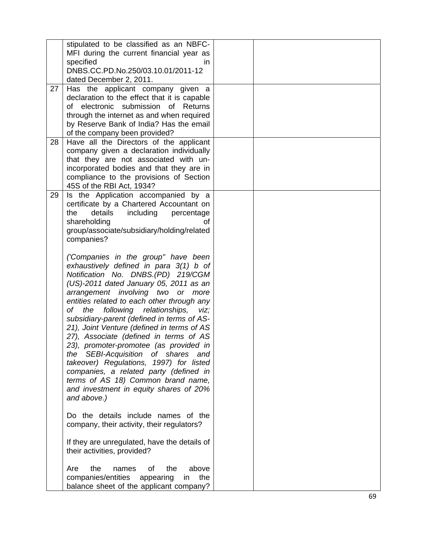| 27 | stipulated to be classified as an NBFC-<br>MFI during the current financial year as<br>specified<br>in.<br>DNBS.CC.PD.No.250/03.10.01/2011-12<br>dated December 2, 2011.<br>Has the applicant company given a                                                                                                                                                                                                                                                                                                                                                                                                                                                                                                    |  |
|----|------------------------------------------------------------------------------------------------------------------------------------------------------------------------------------------------------------------------------------------------------------------------------------------------------------------------------------------------------------------------------------------------------------------------------------------------------------------------------------------------------------------------------------------------------------------------------------------------------------------------------------------------------------------------------------------------------------------|--|
|    | declaration to the effect that it is capable<br>of electronic submission of<br>Returns<br>through the internet as and when required<br>by Reserve Bank of India? Has the email<br>of the company been provided?                                                                                                                                                                                                                                                                                                                                                                                                                                                                                                  |  |
| 28 | Have all the Directors of the applicant<br>company given a declaration individually<br>that they are not associated with un-<br>incorporated bodies and that they are in<br>compliance to the provisions of Section<br>45S of the RBI Act, 1934?                                                                                                                                                                                                                                                                                                                                                                                                                                                                 |  |
| 29 | Is the Application accompanied by a<br>certificate by a Chartered Accountant on<br>including<br>the<br>details<br>percentage<br>shareholding<br>οf<br>group/associate/subsidiary/holding/related<br>companies?                                                                                                                                                                                                                                                                                                                                                                                                                                                                                                   |  |
|    | ('Companies in the group" have been<br>exhaustively defined in para $3(1)$ b of<br>Notification No. DNBS.(PD) 219/CGM<br>(US)-2011 dated January 05, 2011 as an<br>arrangement involving two or more<br>entities related to each other through any<br>following relationships,<br>of<br>the<br>viz;<br>subsidiary-parent (defined in terms of AS-<br>21), Joint Venture (defined in terms of AS<br>27), Associate (defined in terms of AS<br>23), promoter-promotee (as provided in<br>the SEBI-Acquisition of shares<br>and<br>takeover) Regulations, 1997) for listed<br>companies, a related party (defined in<br>terms of AS 18) Common brand name,<br>and investment in equity shares of 20%<br>and above.) |  |
|    | Do the details include names of the<br>company, their activity, their regulators?<br>If they are unregulated, have the details of<br>their activities, provided?                                                                                                                                                                                                                                                                                                                                                                                                                                                                                                                                                 |  |
|    | 0f<br>the<br>above<br>Are<br>the<br>names<br>companies/entities<br>the<br>appearing<br>in.<br>balance sheet of the applicant company?                                                                                                                                                                                                                                                                                                                                                                                                                                                                                                                                                                            |  |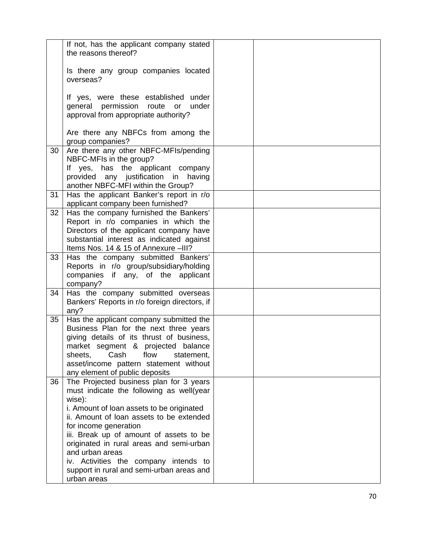|    | If not, has the applicant company stated<br>the reasons thereof?                     |  |
|----|--------------------------------------------------------------------------------------|--|
|    |                                                                                      |  |
|    | Is there any group companies located<br>overseas?                                    |  |
|    |                                                                                      |  |
|    | If yes, were these established under<br>under                                        |  |
|    | general permission<br>route<br>or<br>approval from appropriate authority?            |  |
|    |                                                                                      |  |
|    | Are there any NBFCs from among the<br>group companies?                               |  |
| 30 | Are there any other NBFC-MFIs/pending                                                |  |
|    | NBFC-MFIs in the group?                                                              |  |
|    | If yes, has the applicant company<br>provided any justification in having            |  |
|    | another NBFC-MFI within the Group?                                                   |  |
| 31 | Has the applicant Banker's report in r/o<br>applicant company been furnished?        |  |
| 32 | Has the company furnished the Bankers'                                               |  |
|    | Report in r/o companies in which the                                                 |  |
|    | Directors of the applicant company have<br>substantial interest as indicated against |  |
|    | Items Nos. 14 & 15 of Annexure -III?                                                 |  |
| 33 | Has the company submitted Bankers'                                                   |  |
|    | Reports in r/o group/subsidiary/holding<br>companies if any, of the applicant        |  |
|    | company?                                                                             |  |
| 34 | Has the company submitted overseas                                                   |  |
|    | Bankers' Reports in r/o foreign directors, if<br>any?                                |  |
| 35 | Has the applicant company submitted the                                              |  |
|    | Business Plan for the next three years<br>giving details of its thrust of business,  |  |
|    | market segment & projected balance                                                   |  |
|    | Cash<br>flow<br>statement,<br>sheets,                                                |  |
|    | asset/income pattern statement without                                               |  |
| 36 | any element of public deposits<br>The Projected business plan for 3 years            |  |
|    | must indicate the following as well(year                                             |  |
|    | wise):<br>i. Amount of loan assets to be originated                                  |  |
|    | ii. Amount of loan assets to be extended                                             |  |
|    | for income generation                                                                |  |
|    | iii. Break up of amount of assets to be<br>originated in rural areas and semi-urban  |  |
|    | and urban areas                                                                      |  |
|    | iv. Activities the company intends to                                                |  |
|    | support in rural and semi-urban areas and                                            |  |
|    | urban areas                                                                          |  |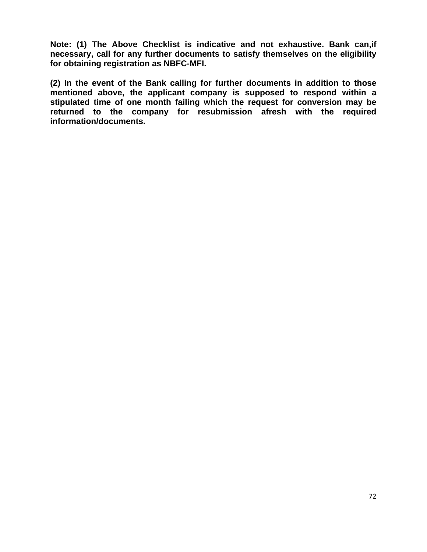**Note: (1) The Above Checklist is indicative and not exhaustive. Bank can,if necessary, call for any further documents to satisfy themselves on the eligibility for obtaining registration as NBFC-MFI.** 

**(2) In the event of the Bank calling for further documents in addition to those mentioned above, the applicant company is supposed to respond within a stipulated time of one month failing which the request for conversion may be returned to the company for resubmission afresh with the required information/documents.**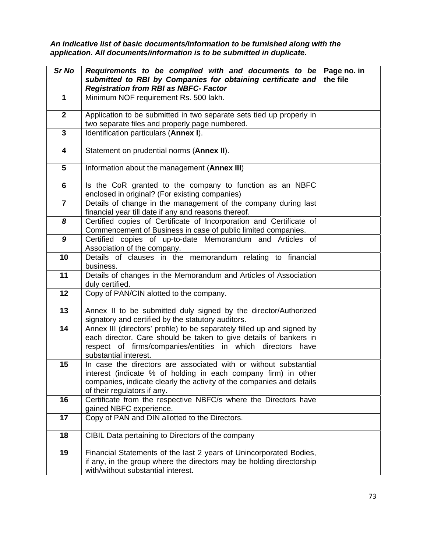*An indicative list of basic documents/information to be furnished along with the application. All documents/information is to be submitted in duplicate.* 

| Sr No          | Requirements to be complied with and documents to be<br>submitted to RBI by Companies for obtaining certificate and<br><b>Registration from RBI as NBFC- Factor</b>                                                                        | Page no. in<br>the file |
|----------------|--------------------------------------------------------------------------------------------------------------------------------------------------------------------------------------------------------------------------------------------|-------------------------|
| $\mathbf{1}$   | Minimum NOF requirement Rs. 500 lakh.                                                                                                                                                                                                      |                         |
| $\mathbf{2}$   | Application to be submitted in two separate sets tied up properly in<br>two separate files and properly page numbered.                                                                                                                     |                         |
| $\mathbf{3}$   | Identification particulars (Annex I).                                                                                                                                                                                                      |                         |
| 4              | Statement on prudential norms (Annex II).                                                                                                                                                                                                  |                         |
| 5              | Information about the management (Annex III)                                                                                                                                                                                               |                         |
| 6              | Is the CoR granted to the company to function as an NBFC<br>enclosed in original? (For existing companies)                                                                                                                                 |                         |
| $\overline{7}$ | Details of change in the management of the company during last<br>financial year till date if any and reasons thereof.                                                                                                                     |                         |
| 8              | Certified copies of Certificate of Incorporation and Certificate of<br>Commencement of Business in case of public limited companies.                                                                                                       |                         |
| 9              | Certified copies of up-to-date Memorandum and Articles of<br>Association of the company.                                                                                                                                                   |                         |
| 10             | Details of clauses in the memorandum relating to financial<br>business.                                                                                                                                                                    |                         |
| 11             | Details of changes in the Memorandum and Articles of Association<br>duly certified.                                                                                                                                                        |                         |
| 12             | Copy of PAN/CIN alotted to the company.                                                                                                                                                                                                    |                         |
| 13             | Annex II to be submitted duly signed by the director/Authorized<br>signatory and certified by the statutory auditors.                                                                                                                      |                         |
| 14             | Annex III (directors' profile) to be separately filled up and signed by<br>each director. Care should be taken to give details of bankers in<br>respect of firms/companies/entities in which directors have<br>substantial interest.       |                         |
| 15             | In case the directors are associated with or without substantial<br>interest (indicate % of holding in each company firm) in other<br>companies, indicate clearly the activity of the companies and details<br>of their regulators if any. |                         |
| 16             | Certificate from the respective NBFC/s where the Directors have<br>gained NBFC experience.                                                                                                                                                 |                         |
| 17             | Copy of PAN and DIN allotted to the Directors.                                                                                                                                                                                             |                         |
| 18             | CIBIL Data pertaining to Directors of the company                                                                                                                                                                                          |                         |
| 19             | Financial Statements of the last 2 years of Unincorporated Bodies,<br>if any, in the group where the directors may be holding directorship<br>with/without substantial interest.                                                           |                         |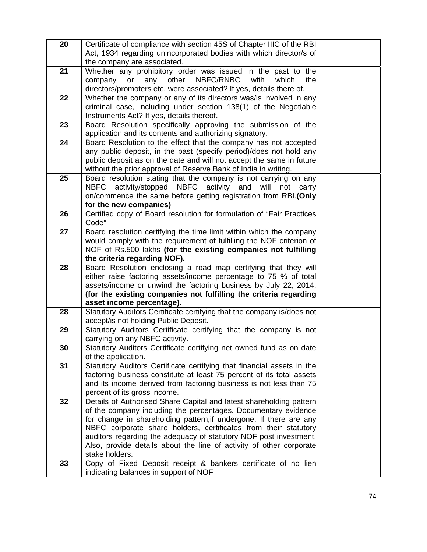| 20 | Certificate of compliance with section 45S of Chapter IIIC of the RBI                                                               |  |
|----|-------------------------------------------------------------------------------------------------------------------------------------|--|
|    | Act, 1934 regarding unincorporated bodies with which director/s of                                                                  |  |
|    | the company are associated.                                                                                                         |  |
| 21 | Whether any prohibitory order was issued in the past to the<br>other<br>NBFC/RNBC<br>with<br>which<br>company<br>or<br>any<br>the   |  |
|    | directors/promoters etc. were associated? If yes, details there of.                                                                 |  |
| 22 | Whether the company or any of its directors was/is involved in any                                                                  |  |
|    | criminal case, including under section 138(1) of the Negotiable                                                                     |  |
|    | Instruments Act? If yes, details thereof.                                                                                           |  |
| 23 | Board Resolution specifically approving the submission of the                                                                       |  |
|    | application and its contents and authorizing signatory.                                                                             |  |
| 24 | Board Resolution to the effect that the company has not accepted                                                                    |  |
|    | any public deposit, in the past (specify period)/does not hold any                                                                  |  |
|    | public deposit as on the date and will not accept the same in future                                                                |  |
|    | without the prior approval of Reserve Bank of India in writing.                                                                     |  |
| 25 | Board resolution stating that the company is not carrying on any<br>NBFC activity/stopped NBFC activity and will<br>not carry       |  |
|    | on/commence the same before getting registration from RBI.(Only                                                                     |  |
|    | for the new companies)                                                                                                              |  |
| 26 | Certified copy of Board resolution for formulation of "Fair Practices                                                               |  |
|    | Code"                                                                                                                               |  |
| 27 | Board resolution certifying the time limit within which the company                                                                 |  |
|    | would comply with the requirement of fulfilling the NOF criterion of                                                                |  |
|    | NOF of Rs.500 lakhs (for the existing companies not fulfilling                                                                      |  |
|    | the criteria regarding NOF).                                                                                                        |  |
| 28 | Board Resolution enclosing a road map certifying that they will<br>either raise factoring assets/income percentage to 75 % of total |  |
|    | assets/income or unwind the factoring business by July 22, 2014.                                                                    |  |
|    | (for the existing companies not fulfilling the criteria regarding                                                                   |  |
|    | asset income percentage).                                                                                                           |  |
| 28 | Statutory Auditors Certificate certifying that the company is/does not                                                              |  |
|    | accept/is not holding Public Deposit.                                                                                               |  |
| 29 | Statutory Auditors Certificate certifying that the company is not                                                                   |  |
|    | carrying on any NBFC activity.                                                                                                      |  |
| 30 | Statutory Auditors Certificate certifying net owned fund as on date                                                                 |  |
| 31 | of the application.<br>Statutory Auditors Certificate certifying that financial assets in the                                       |  |
|    | factoring business constitute at least 75 percent of its total assets                                                               |  |
|    | and its income derived from factoring business is not less than 75                                                                  |  |
|    | percent of its gross income.                                                                                                        |  |
| 32 | Details of Authorised Share Capital and latest shareholding pattern                                                                 |  |
|    | of the company including the percentages. Documentary evidence                                                                      |  |
|    | for change in shareholding pattern, if undergone. If there are any                                                                  |  |
|    | NBFC corporate share holders, certificates from their statutory                                                                     |  |
|    | auditors regarding the adequacy of statutory NOF post investment.                                                                   |  |
|    | Also, provide details about the line of activity of other corporate<br>stake holders.                                               |  |
| 33 | Copy of Fixed Deposit receipt & bankers certificate of no lien                                                                      |  |
|    | indicating balances in support of NOF                                                                                               |  |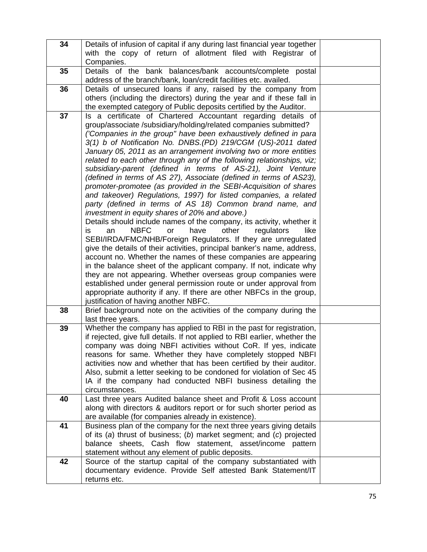| 34 | Details of infusion of capital if any during last financial year together                                                                     |  |
|----|-----------------------------------------------------------------------------------------------------------------------------------------------|--|
|    | with the copy of return of allotment filed with Registrar of                                                                                  |  |
| 35 | Companies.<br>Details of the bank balances/bank accounts/complete postal                                                                      |  |
|    | address of the branch/bank, loan/credit facilities etc. availed.                                                                              |  |
| 36 | Details of unsecured loans if any, raised by the company from                                                                                 |  |
|    | others (including the directors) during the year and if these fall in                                                                         |  |
|    | the exempted category of Public deposits certified by the Auditor.                                                                            |  |
| 37 | Is a certificate of Chartered Accountant regarding details of                                                                                 |  |
|    | group/associate /subsidiary/holding/related companies submitted?                                                                              |  |
|    | ('Companies in the group" have been exhaustively defined in para                                                                              |  |
|    | 3(1) b of Notification No. DNBS.(PD) 219/CGM (US)-2011 dated<br>January 05, 2011 as an arrangement involving two or more entities             |  |
|    | related to each other through any of the following relationships, viz;                                                                        |  |
|    | subsidiary-parent (defined in terms of AS-21), Joint Venture                                                                                  |  |
|    | (defined in terms of AS 27), Associate (defined in terms of AS23),                                                                            |  |
|    | promoter-promotee (as provided in the SEBI-Acquisition of shares                                                                              |  |
|    | and takeover) Regulations, 1997) for listed companies, a related                                                                              |  |
|    | party (defined in terms of AS 18) Common brand name, and                                                                                      |  |
|    | investment in equity shares of 20% and above.)                                                                                                |  |
|    | Details should include names of the company, its activity, whether it<br>other<br><b>NBFC</b><br>have<br>regulators<br>is<br>or<br>like<br>an |  |
|    | SEBI/IRDA/FMC/NHB/Foreign Regulators. If they are unregulated                                                                                 |  |
|    | give the details of their activities, principal banker's name, address,                                                                       |  |
|    | account no. Whether the names of these companies are appearing                                                                                |  |
|    | in the balance sheet of the applicant company. If not, indicate why                                                                           |  |
|    | they are not appearing. Whether overseas group companies were                                                                                 |  |
|    | established under general permission route or under approval from                                                                             |  |
|    | appropriate authority if any. If there are other NBFCs in the group,<br>justification of having another NBFC.                                 |  |
| 38 | Brief background note on the activities of the company during the                                                                             |  |
|    | last three years.                                                                                                                             |  |
| 39 | Whether the company has applied to RBI in the past for registration,                                                                          |  |
|    | if rejected, give full details. If not applied to RBI earlier, whether the                                                                    |  |
|    | company was doing NBFI activities without CoR. If yes, indicate                                                                               |  |
|    | reasons for same. Whether they have completely stopped NBFI                                                                                   |  |
|    | activities now and whether that has been certified by their auditor.<br>Also, submit a letter seeking to be condoned for violation of Sec 45  |  |
|    | IA if the company had conducted NBFI business detailing the                                                                                   |  |
|    | circumstances.                                                                                                                                |  |
| 40 | Last three years Audited balance sheet and Profit & Loss account                                                                              |  |
|    | along with directors & auditors report or for such shorter period as                                                                          |  |
|    | are available (for companies already in existence).                                                                                           |  |
| 41 | Business plan of the company for the next three years giving details                                                                          |  |
|    | of its $(a)$ thrust of business; $(b)$ market segment; and $(c)$ projected<br>balance sheets, Cash flow statement, asset/income pattern       |  |
|    | statement without any element of public deposits.                                                                                             |  |
| 42 | Source of the startup capital of the company substantiated with                                                                               |  |
|    | documentary evidence. Provide Self attested Bank Statement/IT                                                                                 |  |
|    | returns etc.                                                                                                                                  |  |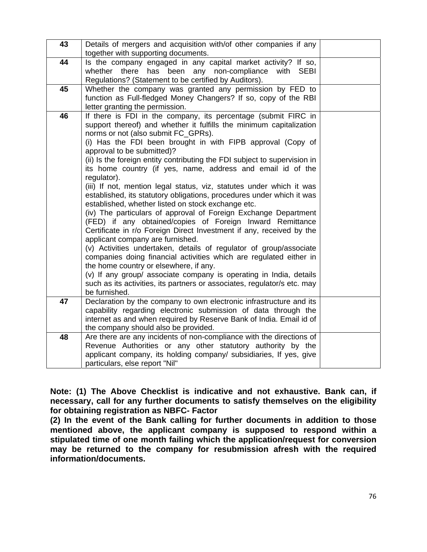| 43 | Details of mergers and acquisition with/of other companies if any<br>together with supporting documents.                                                                                                                                                                                                                                                                                                                                                                                                                                                                                                                                                                                                                                                                                                                                                                                                                                                                                                                                                                                                                                                                                                                                         |  |
|----|--------------------------------------------------------------------------------------------------------------------------------------------------------------------------------------------------------------------------------------------------------------------------------------------------------------------------------------------------------------------------------------------------------------------------------------------------------------------------------------------------------------------------------------------------------------------------------------------------------------------------------------------------------------------------------------------------------------------------------------------------------------------------------------------------------------------------------------------------------------------------------------------------------------------------------------------------------------------------------------------------------------------------------------------------------------------------------------------------------------------------------------------------------------------------------------------------------------------------------------------------|--|
| 44 | Is the company engaged in any capital market activity? If so,<br>whether there<br>has been any non-compliance<br>with<br><b>SEBI</b><br>Regulations? (Statement to be certified by Auditors).                                                                                                                                                                                                                                                                                                                                                                                                                                                                                                                                                                                                                                                                                                                                                                                                                                                                                                                                                                                                                                                    |  |
| 45 | Whether the company was granted any permission by FED to<br>function as Full-fledged Money Changers? If so, copy of the RBI<br>letter granting the permission.                                                                                                                                                                                                                                                                                                                                                                                                                                                                                                                                                                                                                                                                                                                                                                                                                                                                                                                                                                                                                                                                                   |  |
| 46 | If there is FDI in the company, its percentage (submit FIRC in<br>support thereof) and whether it fulfills the minimum capitalization<br>norms or not (also submit FC_GPRs).<br>(i) Has the FDI been brought in with FIPB approval (Copy of<br>approval to be submitted)?<br>(ii) Is the foreign entity contributing the FDI subject to supervision in<br>its home country (if yes, name, address and email id of the<br>regulator).<br>(iii) If not, mention legal status, viz, statutes under which it was<br>established, its statutory obligations, procedures under which it was<br>established, whether listed on stock exchange etc.<br>(iv) The particulars of approval of Foreign Exchange Department<br>(FED) if any obtained/copies of Foreign Inward Remittance<br>Certificate in r/o Foreign Direct Investment if any, received by the<br>applicant company are furnished.<br>(v) Activities undertaken, details of regulator of group/associate<br>companies doing financial activities which are regulated either in<br>the home country or elsewhere, if any.<br>(v) If any group/ associate company is operating in India, details<br>such as its activities, its partners or associates, regulator/s etc. may<br>be furnished. |  |
| 47 | Declaration by the company to own electronic infrastructure and its<br>capability regarding electronic submission of data through the<br>internet as and when required by Reserve Bank of India. Email id of<br>the company should also be provided.                                                                                                                                                                                                                                                                                                                                                                                                                                                                                                                                                                                                                                                                                                                                                                                                                                                                                                                                                                                             |  |
| 48 | Are there are any incidents of non-compliance with the directions of<br>Revenue Authorities or any other statutory authority by the<br>applicant company, its holding company/ subsidiaries, If yes, give<br>particulars, else report "Nil"                                                                                                                                                                                                                                                                                                                                                                                                                                                                                                                                                                                                                                                                                                                                                                                                                                                                                                                                                                                                      |  |

**Note: (1) The Above Checklist is indicative and not exhaustive. Bank can, if necessary, call for any further documents to satisfy themselves on the eligibility for obtaining registration as NBFC- Factor** 

**(2) In the event of the Bank calling for further documents in addition to those mentioned above, the applicant company is supposed to respond within a stipulated time of one month failing which the application/request for conversion may be returned to the company for resubmission afresh with the required information/documents.**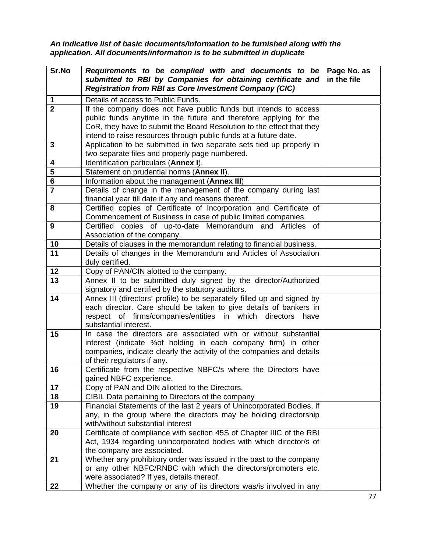*An indicative list of basic documents/information to be furnished along with the application. All documents/information is to be submitted in duplicate* 

| Sr.No          | Requirements to be complied with and documents to be<br>submitted to RBI by Companies for obtaining certificate and<br><b>Registration from RBI as Core Investment Company (CIC)</b>                                                                                              | Page No. as<br>in the file |
|----------------|-----------------------------------------------------------------------------------------------------------------------------------------------------------------------------------------------------------------------------------------------------------------------------------|----------------------------|
| 1              | Details of access to Public Funds.                                                                                                                                                                                                                                                |                            |
| $\overline{2}$ | If the company does not have public funds but intends to access<br>public funds anytime in the future and therefore applying for the<br>CoR, they have to submit the Board Resolution to the effect that they<br>intend to raise resources through public funds at a future date. |                            |
| 3              | Application to be submitted in two separate sets tied up properly in<br>two separate files and properly page numbered.                                                                                                                                                            |                            |
| 4              | Identification particulars (Annex I).                                                                                                                                                                                                                                             |                            |
| 5              | Statement on prudential norms (Annex II).                                                                                                                                                                                                                                         |                            |
| 6              | Information about the management (Annex III)                                                                                                                                                                                                                                      |                            |
| $\overline{7}$ | Details of change in the management of the company during last<br>financial year till date if any and reasons thereof.                                                                                                                                                            |                            |
| 8              | Certified copies of Certificate of Incorporation and Certificate of<br>Commencement of Business in case of public limited companies.                                                                                                                                              |                            |
| 9              | Certified copies of up-to-date Memorandum and Articles<br>0f<br>Association of the company.                                                                                                                                                                                       |                            |
| 10             | Details of clauses in the memorandum relating to financial business.                                                                                                                                                                                                              |                            |
| 11             | Details of changes in the Memorandum and Articles of Association<br>duly certified.                                                                                                                                                                                               |                            |
| 12             | Copy of PAN/CIN alotted to the company.                                                                                                                                                                                                                                           |                            |
| 13             | Annex II to be submitted duly signed by the director/Authorized<br>signatory and certified by the statutory auditors.                                                                                                                                                             |                            |
| 14             | Annex III (directors' profile) to be separately filled up and signed by<br>each director. Care should be taken to give details of bankers in<br>respect of firms/companies/entities in which directors<br>have<br>substantial interest.                                           |                            |
| 15             | In case the directors are associated with or without substantial<br>interest (indicate %of holding in each company firm) in other<br>companies, indicate clearly the activity of the companies and details<br>of their regulators if any.                                         |                            |
| 16             | Certificate from the respective NBFC/s where the Directors have<br>gained NBFC experience.                                                                                                                                                                                        |                            |
| 17             | Copy of PAN and DIN allotted to the Directors.                                                                                                                                                                                                                                    |                            |
| 18             | CIBIL Data pertaining to Directors of the company                                                                                                                                                                                                                                 |                            |
| 19             | Financial Statements of the last 2 years of Unincorporated Bodies, if<br>any, in the group where the directors may be holding directorship<br>with/without substantial interest                                                                                                   |                            |
| 20             | Certificate of compliance with section 45S of Chapter IIIC of the RBI<br>Act, 1934 regarding unincorporated bodies with which director/s of<br>the company are associated.                                                                                                        |                            |
| 21             | Whether any prohibitory order was issued in the past to the company<br>or any other NBFC/RNBC with which the directors/promoters etc.<br>were associated? If yes, details thereof.                                                                                                |                            |
| 22             | Whether the company or any of its directors was/is involved in any                                                                                                                                                                                                                |                            |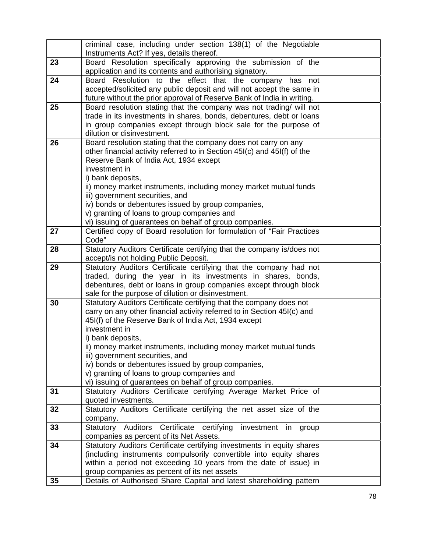|    | criminal case, including under section 138(1) of the Negotiable<br>Instruments Act? If yes, details thereof. |  |
|----|--------------------------------------------------------------------------------------------------------------|--|
| 23 | Board Resolution specifically approving the submission of the                                                |  |
|    | application and its contents and authorising signatory.                                                      |  |
| 24 | Board Resolution to the effect that the company has<br>not                                                   |  |
|    | accepted/solicited any public deposit and will not accept the same in                                        |  |
|    | future without the prior approval of Reserve Bank of India in writing.                                       |  |
| 25 | Board resolution stating that the company was not trading/ will not                                          |  |
|    | trade in its investments in shares, bonds, debentures, debt or loans                                         |  |
|    | in group companies except through block sale for the purpose of                                              |  |
|    | dilution or disinvestment.                                                                                   |  |
| 26 | Board resolution stating that the company does not carry on any                                              |  |
|    | other financial activity referred to in Section 45I(c) and 45I(f) of the                                     |  |
|    | Reserve Bank of India Act, 1934 except                                                                       |  |
|    | investment in                                                                                                |  |
|    | i) bank deposits,                                                                                            |  |
|    | ii) money market instruments, including money market mutual funds                                            |  |
|    | iii) government securities, and                                                                              |  |
|    | iv) bonds or debentures issued by group companies,                                                           |  |
|    | v) granting of loans to group companies and                                                                  |  |
|    | vi) issuing of guarantees on behalf of group companies.                                                      |  |
| 27 | Certified copy of Board resolution for formulation of "Fair Practices                                        |  |
|    | Code"                                                                                                        |  |
| 28 | Statutory Auditors Certificate certifying that the company is/does not                                       |  |
|    | accept/is not holding Public Deposit.                                                                        |  |
| 29 | Statutory Auditors Certificate certifying that the company had not                                           |  |
|    | traded, during the year in its investments in shares, bonds,                                                 |  |
|    | debentures, debt or loans in group companies except through block                                            |  |
|    | sale for the purpose of dilution or disinvestment.                                                           |  |
| 30 | Statutory Auditors Certificate certifying that the company does not                                          |  |
|    | carry on any other financial activity referred to in Section 45I(c) and                                      |  |
|    | 45I(f) of the Reserve Bank of India Act, 1934 except                                                         |  |
|    | investment in                                                                                                |  |
|    | i) bank deposits,                                                                                            |  |
|    | ii) money market instruments, including money market mutual funds                                            |  |
|    | iii) government securities, and                                                                              |  |
|    | iv) bonds or debentures issued by group companies,                                                           |  |
|    | v) granting of loans to group companies and                                                                  |  |
|    | vi) issuing of guarantees on behalf of group companies.                                                      |  |
| 31 | Statutory Auditors Certificate certifying Average Market Price of                                            |  |
|    | quoted investments.                                                                                          |  |
| 32 | Statutory Auditors Certificate certifying the net asset size of the                                          |  |
|    | company.                                                                                                     |  |
| 33 | Statutory Auditors Certificate certifying<br>investment in<br>group                                          |  |
|    | companies as percent of its Net Assets.                                                                      |  |
| 34 | Statutory Auditors Certificate certifying investments in equity shares                                       |  |
|    | (including instruments compulsorily convertible into equity shares                                           |  |
|    | within a period not exceeding 10 years from the date of issue) in                                            |  |
|    | group companies as percent of its net assets                                                                 |  |
| 35 | Details of Authorised Share Capital and latest shareholding pattern                                          |  |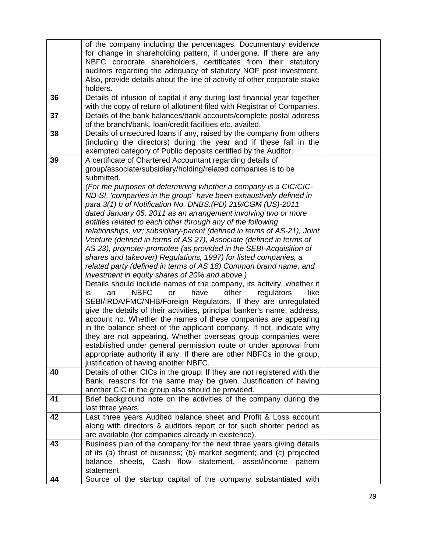|    | of the company including the percentages. Documentary evidence                                                                        |  |
|----|---------------------------------------------------------------------------------------------------------------------------------------|--|
|    | for change in shareholding pattern, if undergone. If there are any                                                                    |  |
|    | NBFC corporate shareholders, certificates from their statutory<br>auditors regarding the adequacy of statutory NOF post investment.   |  |
|    | Also, provide details about the line of activity of other corporate stake                                                             |  |
|    | holders.                                                                                                                              |  |
| 36 | Details of infusion of capital if any during last financial year together                                                             |  |
|    | with the copy of return of allotment filed with Registrar of Companies.                                                               |  |
| 37 | Details of the bank balances/bank accounts/complete postal address                                                                    |  |
|    | of the branch/bank, loan/credit facilities etc. availed.                                                                              |  |
| 38 | Details of unsecured loans if any, raised by the company from others                                                                  |  |
|    | (including the directors) during the year and if these fall in the                                                                    |  |
|    | exempted category of Public deposits certified by the Auditor.                                                                        |  |
| 39 | A certificate of Chartered Accountant regarding details of<br>group/associate/subsidiary/holding/related companies is to be           |  |
|    | submitted.                                                                                                                            |  |
|    | (For the purposes of determining whether a company is a CIC/CIC-                                                                      |  |
|    | ND-SI, 'companies in the group" have been exhaustively defined in                                                                     |  |
|    | para 3(1) b of Notification No. DNBS.(PD) 219/CGM (US)-2011                                                                           |  |
|    | dated January 05, 2011 as an arrangement involving two or more                                                                        |  |
|    | entities related to each other through any of the following                                                                           |  |
|    | relationships, viz; subsidiary-parent (defined in terms of AS-21), Joint                                                              |  |
|    | Venture (defined in terms of AS 27), Associate (defined in terms of                                                                   |  |
|    | AS 23), promoter-promotee (as provided in the SEBI-Acquisition of                                                                     |  |
|    | shares and takeover) Regulations, 1997) for listed companies, a                                                                       |  |
|    | related party (defined in terms of AS 18) Common brand name, and                                                                      |  |
|    | investment in equity shares of 20% and above.)                                                                                        |  |
|    | Details should include names of the company, its activity, whether it                                                                 |  |
|    | <b>NBFC</b><br>other<br>have<br>regulators<br>like<br>is<br>an<br>or<br>SEBI/IRDA/FMC/NHB/Foreign Regulators. If they are unregulated |  |
|    | give the details of their activities, principal banker's name, address,                                                               |  |
|    | account no. Whether the names of these companies are appearing                                                                        |  |
|    | in the balance sheet of the applicant company. If not, indicate why                                                                   |  |
|    | they are not appearing. Whether overseas group companies were                                                                         |  |
|    | established under general permission route or under approval from                                                                     |  |
|    | appropriate authority if any. If there are other NBFCs in the group,                                                                  |  |
|    | justification of having another NBFC.                                                                                                 |  |
| 40 | Details of other CICs in the group. If they are not registered with the                                                               |  |
|    | Bank, reasons for the same may be given. Justification of having                                                                      |  |
|    | another CIC in the group also should be provided.                                                                                     |  |
| 41 | Brief background note on the activities of the company during the                                                                     |  |
|    | last three years.                                                                                                                     |  |
| 42 | Last three years Audited balance sheet and Profit & Loss account                                                                      |  |
|    | along with directors & auditors report or for such shorter period as<br>are available (for companies already in existence).           |  |
| 43 | Business plan of the company for the next three years giving details                                                                  |  |
|    | of its (a) thrust of business; (b) market segment; and (c) projected                                                                  |  |
|    | balance sheets, Cash flow statement, asset/income<br>pattern                                                                          |  |
|    | statement.                                                                                                                            |  |
| 44 | Source of the startup capital of the company substantiated with                                                                       |  |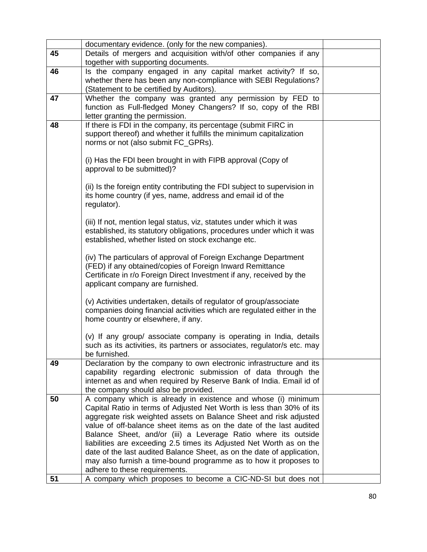|    | documentary evidence. (only for the new companies).                                                                                   |  |
|----|---------------------------------------------------------------------------------------------------------------------------------------|--|
| 45 | Details of mergers and acquisition with/of other companies if any                                                                     |  |
|    | together with supporting documents.                                                                                                   |  |
| 46 | Is the company engaged in any capital market activity? If so,                                                                         |  |
|    | whether there has been any non-compliance with SEBI Regulations?                                                                      |  |
|    | (Statement to be certified by Auditors).                                                                                              |  |
| 47 | Whether the company was granted any permission by FED to                                                                              |  |
|    | function as Full-fledged Money Changers? If so, copy of the RBI                                                                       |  |
|    | letter granting the permission.                                                                                                       |  |
| 48 | If there is FDI in the company, its percentage (submit FIRC in<br>support thereof) and whether it fulfills the minimum capitalization |  |
|    | norms or not (also submit FC_GPRs).                                                                                                   |  |
|    |                                                                                                                                       |  |
|    | (i) Has the FDI been brought in with FIPB approval (Copy of                                                                           |  |
|    | approval to be submitted)?                                                                                                            |  |
|    |                                                                                                                                       |  |
|    | (ii) Is the foreign entity contributing the FDI subject to supervision in                                                             |  |
|    | its home country (if yes, name, address and email id of the                                                                           |  |
|    | regulator).                                                                                                                           |  |
|    |                                                                                                                                       |  |
|    | (iii) If not, mention legal status, viz, statutes under which it was                                                                  |  |
|    | established, its statutory obligations, procedures under which it was                                                                 |  |
|    | established, whether listed on stock exchange etc.                                                                                    |  |
|    | (iv) The particulars of approval of Foreign Exchange Department                                                                       |  |
|    | (FED) if any obtained/copies of Foreign Inward Remittance                                                                             |  |
|    | Certificate in r/o Foreign Direct Investment if any, received by the                                                                  |  |
|    | applicant company are furnished.                                                                                                      |  |
|    |                                                                                                                                       |  |
|    | (v) Activities undertaken, details of regulator of group/associate                                                                    |  |
|    | companies doing financial activities which are regulated either in the                                                                |  |
|    | home country or elsewhere, if any.                                                                                                    |  |
|    |                                                                                                                                       |  |
|    | (v) If any group/ associate company is operating in India, details                                                                    |  |
|    | such as its activities, its partners or associates, regulator/s etc. may                                                              |  |
| 49 | be furnished.<br>Declaration by the company to own electronic infrastructure and its                                                  |  |
|    | capability regarding electronic submission of data through the                                                                        |  |
|    | internet as and when required by Reserve Bank of India. Email id of                                                                   |  |
|    | the company should also be provided.                                                                                                  |  |
| 50 | A company which is already in existence and whose (i) minimum                                                                         |  |
|    | Capital Ratio in terms of Adjusted Net Worth is less than 30% of its                                                                  |  |
|    | aggregate risk weighted assets on Balance Sheet and risk adjusted                                                                     |  |
|    | value of off-balance sheet items as on the date of the last audited                                                                   |  |
|    | Balance Sheet, and/or (iii) a Leverage Ratio where its outside                                                                        |  |
|    | liabilities are exceeding 2.5 times its Adjusted Net Worth as on the                                                                  |  |
|    | date of the last audited Balance Sheet, as on the date of application,                                                                |  |
|    | may also furnish a time-bound programme as to how it proposes to                                                                      |  |
|    | adhere to these requirements.                                                                                                         |  |
| 51 | A company which proposes to become a CIC-ND-SI but does not                                                                           |  |